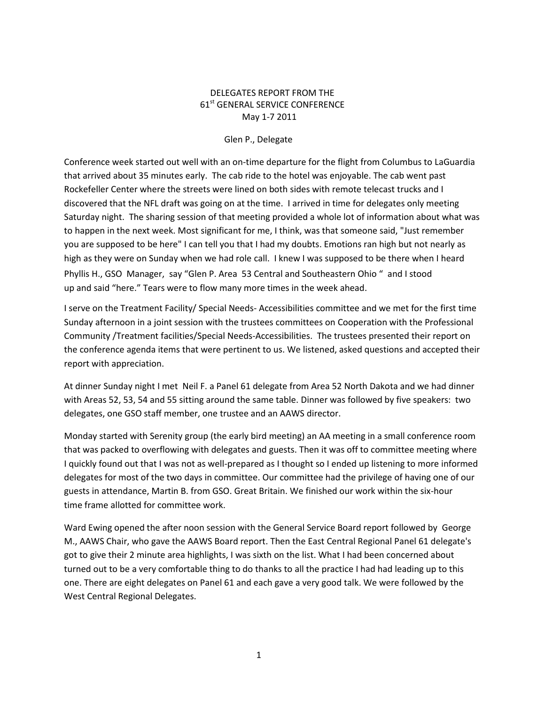## DELEGATES REPORT FROM THE 61<sup>st</sup> GENERAL SERVICE CONFERENCE May 1-7 2011

## Glen P., Delegate

Conference week started out well with an on-time departure for the flight from Columbus to LaGuardia that arrived about 35 minutes early. The cab ride to the hotel was enjoyable. The cab went past Rockefeller Center where the streets were lined on both sides with remote telecast trucks and I discovered that the NFL draft was going on at the time. I arrived in time for delegates only meeting Saturday night. The sharing session of that meeting provided a whole lot of information about what was to happen in the next week. Most significant for me, I think, was that someone said, "Just remember you are supposed to be here" I can tell you that I had my doubts. Emotions ran high but not nearly as high as they were on Sunday when we had role call. I knew I was supposed to be there when I heard Phyllis H., GSO Manager, say "Glen P. Area 53 Central and Southeastern Ohio " and I stood up and said "here." Tears were to flow many more times in the week ahead.

I serve on the Treatment Facility/ Special Needs- Accessibilities committee and we met for the first time Sunday afternoon in a joint session with the trustees committees on Cooperation with the Professional Community /Treatment facilities/Special Needs-Accessibilities. The trustees presented their report on the conference agenda items that were pertinent to us. We listened, asked questions and accepted their report with appreciation.

At dinner Sunday night I met Neil F. a Panel 61 delegate from Area 52 North Dakota and we had dinner with Areas 52, 53, 54 and 55 sitting around the same table. Dinner was followed by five speakers: two delegates, one GSO staff member, one trustee and an AAWS director.

Monday started with Serenity group (the early bird meeting) an AA meeting in a small conference room that was packed to overflowing with delegates and guests. Then it was off to committee meeting where I quickly found out that I was not as well-prepared as I thought so I ended up listening to more informed delegates for most of the two days in committee. Our committee had the privilege of having one of our guests in attendance, Martin B. from GSO. Great Britain. We finished our work within the six-hour time frame allotted for committee work.

Ward Ewing opened the after noon session with the General Service Board report followed by George M., AAWS Chair, who gave the AAWS Board report. Then the East Central Regional Panel 61 delegate's got to give their 2 minute area highlights, I was sixth on the list. What I had been concerned about turned out to be a very comfortable thing to do thanks to all the practice I had had leading up to this one. There are eight delegates on Panel 61 and each gave a very good talk. We were followed by the West Central Regional Delegates.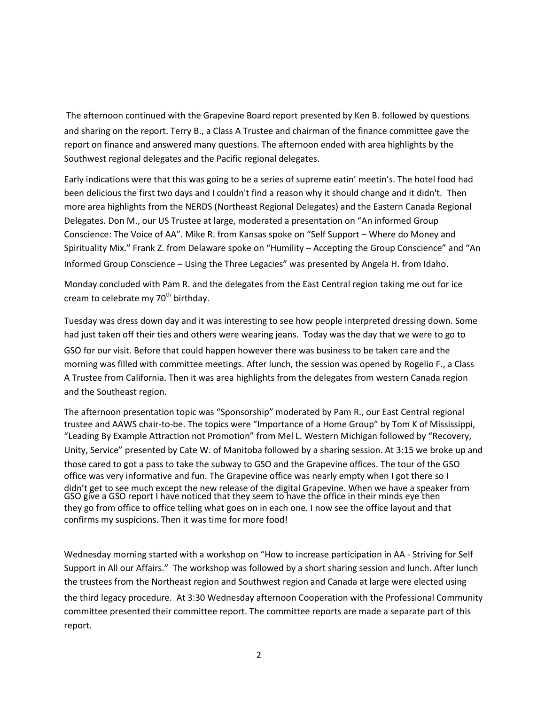The afternoon continued with the Grapevine Board report presented by Ken B. followed by questions and sharing on the report. Terry B., a Class A Trustee and chairman of the finance committee gave the report on finance and answered many questions. The afternoon ended with area highlights by the Southwest regional delegates and the Pacific regional delegates.

Early indications were that this was going to be a series of supreme eatin' meetin's. The hotel food had been delicious the first two days and I couldn't find a reason why it should change and it didn't. Then more area highlights from the NERDS (Northeast Regional Delegates) and the Eastern Canada Regional Delegates. Don M., our US Trustee at large, moderated a presentation on "An informed Group Conscience: The Voice of AA". Mike R. from Kansas spoke on "Self Support – Where do Money and Spirituality Mix." Frank Z. from Delaware spoke on "Humility – Accepting the Group Conscience" and "An Informed Group Conscience – Using the Three Legacies" was presented by Angela H. from Idaho.

Monday concluded with Pam R. and the delegates from the East Central region taking me out for ice cream to celebrate my  $70<sup>th</sup>$  birthday.

Tuesday was dress down day and it was interesting to see how people interpreted dressing down. Some had just taken off their ties and others were wearing jeans. Today was the day that we were to go to GSO for our visit. Before that could happen however there was business to be taken care and the morning was filled with committee meetings. After lunch, the session was opened by Rogelio F., a Class A Trustee from California. Then it was area highlights from the delegates from western Canada region and the Southeast region.

The afternoon presentation topic was "Sponsorship" moderated by Pam R., our East Central regional trustee and AAWS chair-to-be. The topics were "Importance of a Home Group" by Tom K of Mississippi, "Leading By Example Attraction not Promotion" from Mel L. Western Michigan followed by "Recovery, Unity, Service" presented by Cate W. of Manitoba followed by a sharing session. At 3:15 we broke up and those cared to got a pass to take the subway to GSO and the Grapevine offices. The tour of the GSO office was very informative and fun. The Grapevine office was nearly empty when I got there so I didn't get to see much except the new release of the digital Grapevine. When we have a speaker from GSO give a GSO report I have noticed that they seem to have the office in their minds eye then they go from office to office telling what goes on in each one. I now see the office layout and that confirms my suspicions. Then it was time for more food!

Wednesday morning started with a workshop on "How to increase participation in AA - Striving for Self Support in All our Affairs." The workshop was followed by a short sharing session and lunch. After lunch the trustees from the Northeast region and Southwest region and Canada at large were elected using the third legacy procedure. At 3:30 Wednesday afternoon Cooperation with the Professional Community committee presented their committee report. The committee reports are made a separate part of this report.